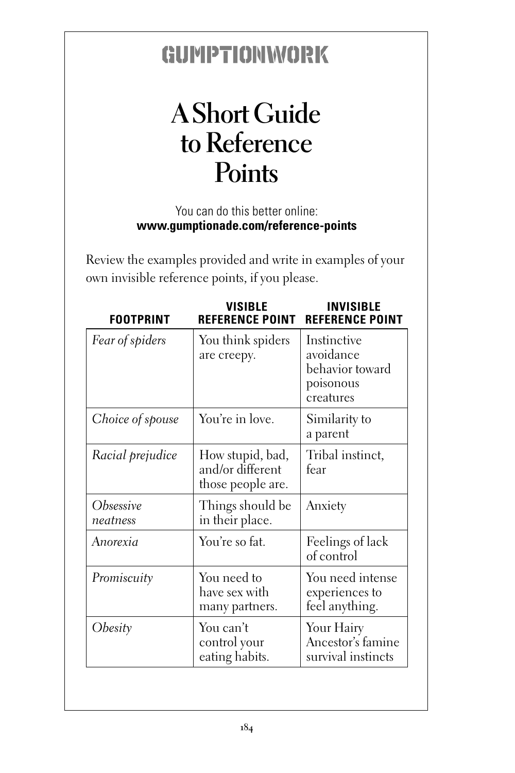## GUIMPTIONWORK

## **A Short Guide to Reference Points**

You can do this better online: **www.gumptionade.com/reference-points**

Review the examples provided and write in examples of your own invisible reference points, if you please.

| <b>FOOTPRINT</b>      | <b>VISIBLE</b><br><b>REFERENCE POINT</b>                  | <b>INVISIBLE</b><br><b>REFERENCE POINT</b>                            |
|-----------------------|-----------------------------------------------------------|-----------------------------------------------------------------------|
| Fear of spiders       | You think spiders<br>are creepy.                          | Instinctive<br>avoidance<br>behavior toward<br>poisonous<br>creatures |
| Choice of spouse      | You're in love.                                           | Similarity to<br>a parent                                             |
| Racial prejudice      | How stupid, bad,<br>and/or different<br>those people are. | Tribal instinct,<br>fear                                              |
| Obsessive<br>neatness | Things should be<br>in their place.                       | Anxiety                                                               |
| Anorexia              | You're so fat.                                            | Feelings of lack<br>of control                                        |
| Promiscuity           | You need to<br>have sex with<br>many partners.            | You need intense<br>experiences to<br>feel anything.                  |
| Obesity               | You can't<br>control your<br>eating habits.               | Your Hairy<br>Ancestor's famine<br>survival instincts                 |